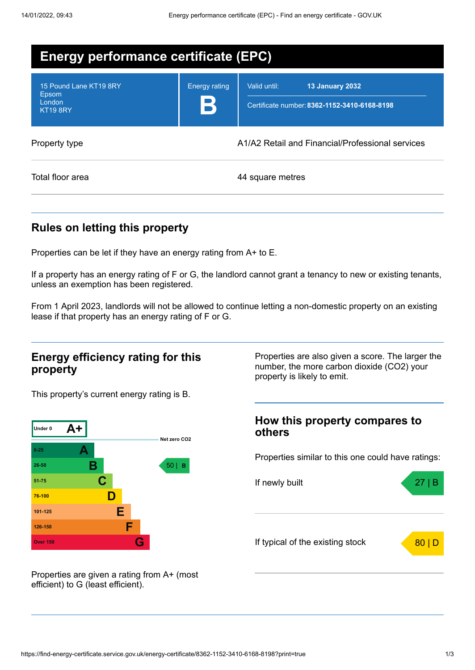| <b>Energy performance certificate (EPC)</b>                  |                           |                                                                                        |  |  |
|--------------------------------------------------------------|---------------------------|----------------------------------------------------------------------------------------|--|--|
| 15 Pound Lane KT19 8RY<br>Epsom<br>London<br><b>KT19 8RY</b> | <b>Energy rating</b><br>В | <b>13 January 2032</b><br>Valid until:<br>Certificate number: 8362-1152-3410-6168-8198 |  |  |
| Property type                                                |                           | A1/A2 Retail and Financial/Professional services                                       |  |  |
| Total floor area                                             |                           | 44 square metres                                                                       |  |  |

## **Rules on letting this property**

Properties can be let if they have an energy rating from A+ to E.

If a property has an energy rating of F or G, the landlord cannot grant a tenancy to new or existing tenants, unless an exemption has been registered.

From 1 April 2023, landlords will not be allowed to continue letting a non-domestic property on an existing lease if that property has an energy rating of F or G.

### **Energy efficiency rating for this property**

This property's current energy rating is B.



Properties are given a rating from A+ (most efficient) to G (least efficient).

Properties are also given a score. The larger the number, the more carbon dioxide (CO2) your property is likely to emit.

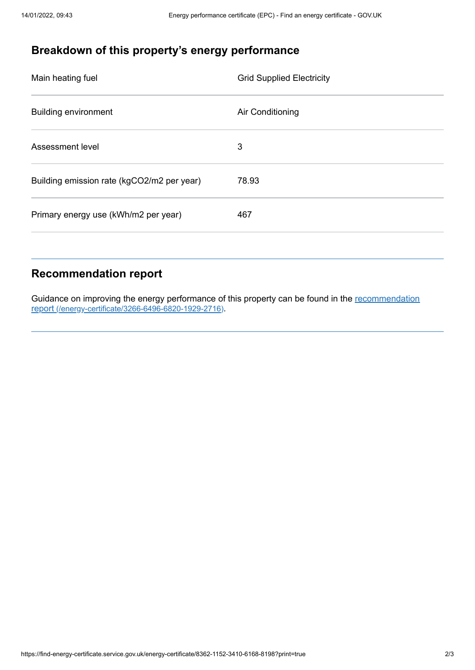# **Breakdown of this property's energy performance**

| Main heating fuel                          | <b>Grid Supplied Electricity</b> |
|--------------------------------------------|----------------------------------|
| <b>Building environment</b>                | Air Conditioning                 |
| Assessment level                           | 3                                |
| Building emission rate (kgCO2/m2 per year) | 78.93                            |
| Primary energy use (kWh/m2 per year)       | 467                              |

## **Recommendation report**

Guidance on improving the energy performance of this property can be found in the recommendation report [\(/energy-certificate/3266-6496-6820-1929-2716\)](https://find-energy-certificate.service.gov.uk/energy-certificate/3266-6496-6820-1929-2716).